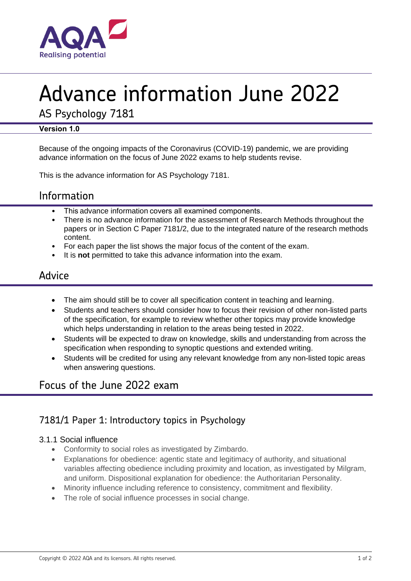

# Advance information June 2022

AS Psychology 7181

#### **Version 1.0**

Because of the ongoing impacts of the Coronavirus (COVID-19) pandemic, we are providing advance information on the focus of June 2022 exams to help students revise.

This is the advance information for AS Psychology 7181.

# Information

- This advance information covers all examined components.
- There is no advance information for the assessment of Research Methods throughout the papers or in Section C Paper 7181/2, due to the integrated nature of the research methods content.
- For each paper the list shows the major focus of the content of the exam.
- It is **not** permitted to take this advance information into the exam.

## Advice

- The aim should still be to cover all specification content in teaching and learning.
- Students and teachers should consider how to focus their revision of other non-listed parts of the specification, for example to review whether other topics may provide knowledge which helps understanding in relation to the areas being tested in 2022.
- Students will be expected to draw on knowledge, skills and understanding from across the specification when responding to synoptic questions and extended writing.
- Students will be credited for using any relevant knowledge from any non-listed topic areas when answering questions.

# Focus of the June 2022 exam

## 7181/1 Paper 1: Introductory topics in Psychology

#### 3.1.1 Social influence

- Conformity to social roles as investigated by Zimbardo.
- Explanations for obedience: agentic state and legitimacy of authority, and situational variables affecting obedience including proximity and location, as investigated by Milgram, and uniform. Dispositional explanation for obedience: the Authoritarian Personality.
- Minority influence including reference to consistency, commitment and flexibility.
- The role of social influence processes in social change.